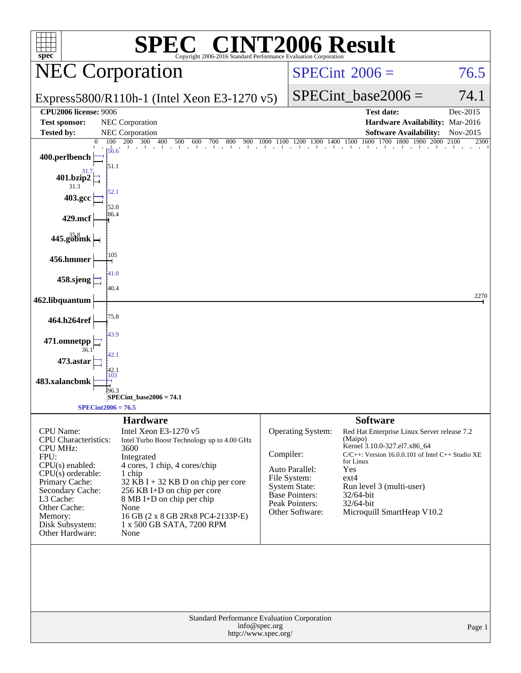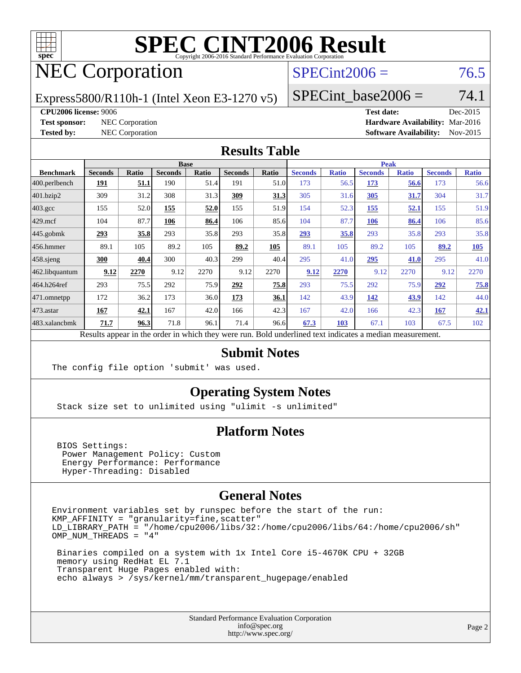

# NEC Corporation

#### $SPECint2006 = 76.5$  $SPECint2006 = 76.5$

Express5800/R110h-1 (Intel Xeon E3-1270 v5)

SPECint base2006 =  $74.1$ 

#### **[CPU2006 license:](http://www.spec.org/auto/cpu2006/Docs/result-fields.html#CPU2006license)** 9006 **[Test date:](http://www.spec.org/auto/cpu2006/Docs/result-fields.html#Testdate)** Dec-2015

**[Test sponsor:](http://www.spec.org/auto/cpu2006/Docs/result-fields.html#Testsponsor)** NEC Corporation **[Hardware Availability:](http://www.spec.org/auto/cpu2006/Docs/result-fields.html#HardwareAvailability)** Mar-2016 **[Tested by:](http://www.spec.org/auto/cpu2006/Docs/result-fields.html#Testedby)** NEC Corporation **[Software Availability:](http://www.spec.org/auto/cpu2006/Docs/result-fields.html#SoftwareAvailability)** Nov-2015

#### **[Results Table](http://www.spec.org/auto/cpu2006/Docs/result-fields.html#ResultsTable)**

|                                                                                                          | <b>Base</b>    |       |                |       |                | <b>Peak</b> |                |              |                |              |                |              |
|----------------------------------------------------------------------------------------------------------|----------------|-------|----------------|-------|----------------|-------------|----------------|--------------|----------------|--------------|----------------|--------------|
| <b>Benchmark</b>                                                                                         | <b>Seconds</b> | Ratio | <b>Seconds</b> | Ratio | <b>Seconds</b> | Ratio       | <b>Seconds</b> | <b>Ratio</b> | <b>Seconds</b> | <b>Ratio</b> | <b>Seconds</b> | <b>Ratio</b> |
| 400.perlbench                                                                                            | 191            | 51.1  | 190            | 51.4  | 191            | 51.0        | 173            | 56.5         | 173            | 56.6         | 173            | 56.6         |
| 401.bzip2                                                                                                | 309            | 31.2  | 308            | 31.3  | 309            | 31.3        | 305            | 31.6         | 305            | 31.7         | 304            | 31.7         |
| $403.\mathrm{gcc}$                                                                                       | 155            | 52.0  | 155            | 52.0  | 155            | 51.9        | 154            | 52.3         | 155            | 52.1         | 155            | 51.9         |
| $429$ .mcf                                                                                               | 104            | 87.7  | 106            | 86.4  | 106            | 85.6        | 104            | 87.7         | 106            | 86.4         | 106            | 85.6         |
| $445$ .gobmk                                                                                             | 293            | 35.8  | 293            | 35.8  | 293            | 35.8        | 293            | 35.8         | 293            | 35.8         | 293            | 35.8         |
| 456.hmmer                                                                                                | 89.1           | 105   | 89.2           | 105   | 89.2           | 105         | 89.1           | 105          | 89.2           | 105          | 89.2           | 105          |
| $458$ .sjeng                                                                                             | 300            | 40.4  | 300            | 40.3  | 299            | 40.4        | 295            | 41.0         | 295            | 41.0         | 295            | 41.0         |
| 462.libquantum                                                                                           | 9.12           | 2270  | 9.12           | 2270  | 9.12           | 2270        | 9.12           | 2270         | 9.12           | 2270         | 9.12           | 2270         |
| 464.h264ref                                                                                              | 293            | 75.5  | 292            | 75.9  | 292            | 75.8        | 293            | 75.5         | 292            | 75.9         | 292            | 75.8         |
| 471.omnetpp                                                                                              | 172            | 36.2  | 173            | 36.0  | 173            | 36.1        | 142            | 43.9         | 142            | 43.9         | 142            | 44.0         |
| 473.astar                                                                                                | 167            | 42.1  | 167            | 42.0  | 166            | 42.3        | 167            | 42.0         | 166            | 42.3         | 167            | 42.1         |
| 483.xalancbmk                                                                                            | 71.7           | 96.3  | 71.8           | 96.1  | 71.4           | 96.6        | 67.3           | 103          | 67.1           | 103          | 67.5           | 102          |
| Results appear in the order in which they were run. Bold underlined text indicates a median measurement. |                |       |                |       |                |             |                |              |                |              |                |              |

#### **[Submit Notes](http://www.spec.org/auto/cpu2006/Docs/result-fields.html#SubmitNotes)**

The config file option 'submit' was used.

#### **[Operating System Notes](http://www.spec.org/auto/cpu2006/Docs/result-fields.html#OperatingSystemNotes)**

Stack size set to unlimited using "ulimit -s unlimited"

#### **[Platform Notes](http://www.spec.org/auto/cpu2006/Docs/result-fields.html#PlatformNotes)**

 BIOS Settings: Power Management Policy: Custom Energy Performance: Performance Hyper-Threading: Disabled

#### **[General Notes](http://www.spec.org/auto/cpu2006/Docs/result-fields.html#GeneralNotes)**

Environment variables set by runspec before the start of the run: KMP\_AFFINITY = "granularity=fine,scatter" LD\_LIBRARY\_PATH = "/home/cpu2006/libs/32:/home/cpu2006/libs/64:/home/cpu2006/sh" OMP\_NUM\_THREADS = "4"

 Binaries compiled on a system with 1x Intel Core i5-4670K CPU + 32GB memory using RedHat EL 7.1 Transparent Huge Pages enabled with: echo always > /sys/kernel/mm/transparent\_hugepage/enabled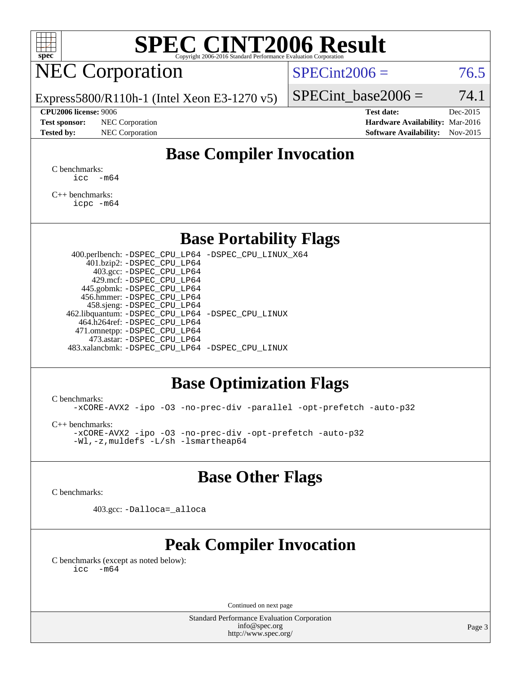

# NEC Corporation

 $SPECint2006 = 76.5$  $SPECint2006 = 76.5$ 

Express5800/R110h-1 (Intel Xeon E3-1270 v5)

#### **[CPU2006 license:](http://www.spec.org/auto/cpu2006/Docs/result-fields.html#CPU2006license)** 9006 **[Test date:](http://www.spec.org/auto/cpu2006/Docs/result-fields.html#Testdate)** Dec-2015

**[Test sponsor:](http://www.spec.org/auto/cpu2006/Docs/result-fields.html#Testsponsor)** NEC Corporation **[Hardware Availability:](http://www.spec.org/auto/cpu2006/Docs/result-fields.html#HardwareAvailability)** Mar-2016

SPECint base2006 =  $74.1$ 

**[Tested by:](http://www.spec.org/auto/cpu2006/Docs/result-fields.html#Testedby)** NEC Corporation **[Software Availability:](http://www.spec.org/auto/cpu2006/Docs/result-fields.html#SoftwareAvailability)** Nov-2015

### **[Base Compiler Invocation](http://www.spec.org/auto/cpu2006/Docs/result-fields.html#BaseCompilerInvocation)**

[C benchmarks](http://www.spec.org/auto/cpu2006/Docs/result-fields.html#Cbenchmarks):  $\text{icc}$   $-\text{m64}$ 

[C++ benchmarks:](http://www.spec.org/auto/cpu2006/Docs/result-fields.html#CXXbenchmarks) [icpc -m64](http://www.spec.org/cpu2006/results/res2016q1/cpu2006-20160125-38795.flags.html#user_CXXbase_intel_icpc_64bit_fc66a5337ce925472a5c54ad6a0de310)

#### **[Base Portability Flags](http://www.spec.org/auto/cpu2006/Docs/result-fields.html#BasePortabilityFlags)**

 400.perlbench: [-DSPEC\\_CPU\\_LP64](http://www.spec.org/cpu2006/results/res2016q1/cpu2006-20160125-38795.flags.html#b400.perlbench_basePORTABILITY_DSPEC_CPU_LP64) [-DSPEC\\_CPU\\_LINUX\\_X64](http://www.spec.org/cpu2006/results/res2016q1/cpu2006-20160125-38795.flags.html#b400.perlbench_baseCPORTABILITY_DSPEC_CPU_LINUX_X64) 401.bzip2: [-DSPEC\\_CPU\\_LP64](http://www.spec.org/cpu2006/results/res2016q1/cpu2006-20160125-38795.flags.html#suite_basePORTABILITY401_bzip2_DSPEC_CPU_LP64) 403.gcc: [-DSPEC\\_CPU\\_LP64](http://www.spec.org/cpu2006/results/res2016q1/cpu2006-20160125-38795.flags.html#suite_basePORTABILITY403_gcc_DSPEC_CPU_LP64) 429.mcf: [-DSPEC\\_CPU\\_LP64](http://www.spec.org/cpu2006/results/res2016q1/cpu2006-20160125-38795.flags.html#suite_basePORTABILITY429_mcf_DSPEC_CPU_LP64) 445.gobmk: [-DSPEC\\_CPU\\_LP64](http://www.spec.org/cpu2006/results/res2016q1/cpu2006-20160125-38795.flags.html#suite_basePORTABILITY445_gobmk_DSPEC_CPU_LP64) 456.hmmer: [-DSPEC\\_CPU\\_LP64](http://www.spec.org/cpu2006/results/res2016q1/cpu2006-20160125-38795.flags.html#suite_basePORTABILITY456_hmmer_DSPEC_CPU_LP64) 458.sjeng: [-DSPEC\\_CPU\\_LP64](http://www.spec.org/cpu2006/results/res2016q1/cpu2006-20160125-38795.flags.html#suite_basePORTABILITY458_sjeng_DSPEC_CPU_LP64) 462.libquantum: [-DSPEC\\_CPU\\_LP64](http://www.spec.org/cpu2006/results/res2016q1/cpu2006-20160125-38795.flags.html#suite_basePORTABILITY462_libquantum_DSPEC_CPU_LP64) [-DSPEC\\_CPU\\_LINUX](http://www.spec.org/cpu2006/results/res2016q1/cpu2006-20160125-38795.flags.html#b462.libquantum_baseCPORTABILITY_DSPEC_CPU_LINUX) 464.h264ref: [-DSPEC\\_CPU\\_LP64](http://www.spec.org/cpu2006/results/res2016q1/cpu2006-20160125-38795.flags.html#suite_basePORTABILITY464_h264ref_DSPEC_CPU_LP64) 471.omnetpp: [-DSPEC\\_CPU\\_LP64](http://www.spec.org/cpu2006/results/res2016q1/cpu2006-20160125-38795.flags.html#suite_basePORTABILITY471_omnetpp_DSPEC_CPU_LP64) 473.astar: [-DSPEC\\_CPU\\_LP64](http://www.spec.org/cpu2006/results/res2016q1/cpu2006-20160125-38795.flags.html#suite_basePORTABILITY473_astar_DSPEC_CPU_LP64) 483.xalancbmk: [-DSPEC\\_CPU\\_LP64](http://www.spec.org/cpu2006/results/res2016q1/cpu2006-20160125-38795.flags.html#suite_basePORTABILITY483_xalancbmk_DSPEC_CPU_LP64) [-DSPEC\\_CPU\\_LINUX](http://www.spec.org/cpu2006/results/res2016q1/cpu2006-20160125-38795.flags.html#b483.xalancbmk_baseCXXPORTABILITY_DSPEC_CPU_LINUX)

#### **[Base Optimization Flags](http://www.spec.org/auto/cpu2006/Docs/result-fields.html#BaseOptimizationFlags)**

[C benchmarks](http://www.spec.org/auto/cpu2006/Docs/result-fields.html#Cbenchmarks):

[-xCORE-AVX2](http://www.spec.org/cpu2006/results/res2016q1/cpu2006-20160125-38795.flags.html#user_CCbase_f-xAVX2_5f5fc0cbe2c9f62c816d3e45806c70d7) [-ipo](http://www.spec.org/cpu2006/results/res2016q1/cpu2006-20160125-38795.flags.html#user_CCbase_f-ipo) [-O3](http://www.spec.org/cpu2006/results/res2016q1/cpu2006-20160125-38795.flags.html#user_CCbase_f-O3) [-no-prec-div](http://www.spec.org/cpu2006/results/res2016q1/cpu2006-20160125-38795.flags.html#user_CCbase_f-no-prec-div) [-parallel](http://www.spec.org/cpu2006/results/res2016q1/cpu2006-20160125-38795.flags.html#user_CCbase_f-parallel) [-opt-prefetch](http://www.spec.org/cpu2006/results/res2016q1/cpu2006-20160125-38795.flags.html#user_CCbase_f-opt-prefetch) [-auto-p32](http://www.spec.org/cpu2006/results/res2016q1/cpu2006-20160125-38795.flags.html#user_CCbase_f-auto-p32)

[C++ benchmarks:](http://www.spec.org/auto/cpu2006/Docs/result-fields.html#CXXbenchmarks)

[-xCORE-AVX2](http://www.spec.org/cpu2006/results/res2016q1/cpu2006-20160125-38795.flags.html#user_CXXbase_f-xAVX2_5f5fc0cbe2c9f62c816d3e45806c70d7) [-ipo](http://www.spec.org/cpu2006/results/res2016q1/cpu2006-20160125-38795.flags.html#user_CXXbase_f-ipo) [-O3](http://www.spec.org/cpu2006/results/res2016q1/cpu2006-20160125-38795.flags.html#user_CXXbase_f-O3) [-no-prec-div](http://www.spec.org/cpu2006/results/res2016q1/cpu2006-20160125-38795.flags.html#user_CXXbase_f-no-prec-div) [-opt-prefetch](http://www.spec.org/cpu2006/results/res2016q1/cpu2006-20160125-38795.flags.html#user_CXXbase_f-opt-prefetch) [-auto-p32](http://www.spec.org/cpu2006/results/res2016q1/cpu2006-20160125-38795.flags.html#user_CXXbase_f-auto-p32) [-Wl,-z,muldefs](http://www.spec.org/cpu2006/results/res2016q1/cpu2006-20160125-38795.flags.html#user_CXXbase_link_force_multiple1_74079c344b956b9658436fd1b6dd3a8a) [-L/sh -lsmartheap64](http://www.spec.org/cpu2006/results/res2016q1/cpu2006-20160125-38795.flags.html#user_CXXbase_SmartHeap64_ed4ef857ce90951921efb0d91eb88472)

#### **[Base Other Flags](http://www.spec.org/auto/cpu2006/Docs/result-fields.html#BaseOtherFlags)**

[C benchmarks](http://www.spec.org/auto/cpu2006/Docs/result-fields.html#Cbenchmarks):

403.gcc: [-Dalloca=\\_alloca](http://www.spec.org/cpu2006/results/res2016q1/cpu2006-20160125-38795.flags.html#b403.gcc_baseEXTRA_CFLAGS_Dalloca_be3056838c12de2578596ca5467af7f3)

### **[Peak Compiler Invocation](http://www.spec.org/auto/cpu2006/Docs/result-fields.html#PeakCompilerInvocation)**

[C benchmarks \(except as noted below\)](http://www.spec.org/auto/cpu2006/Docs/result-fields.html#Cbenchmarksexceptasnotedbelow):  $\text{icc}$  -m64

Continued on next page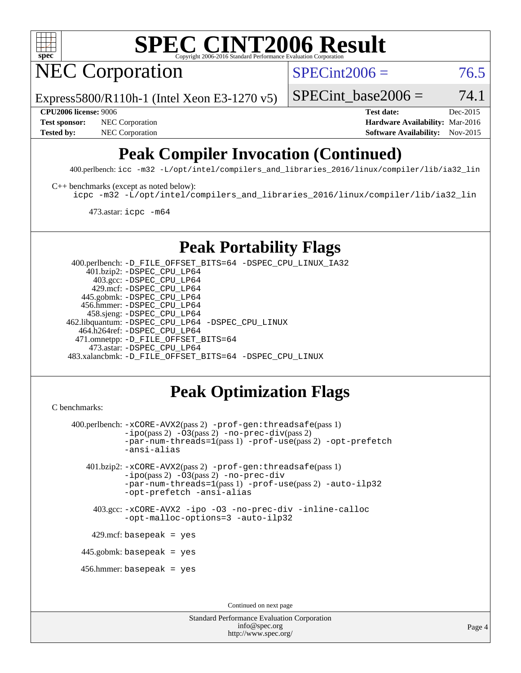

NEC Corporation

 $SPECint2006 = 76.5$  $SPECint2006 = 76.5$ 

Express5800/R110h-1 (Intel Xeon E3-1270 v5)

SPECint base2006 =  $74.1$ 

**[CPU2006 license:](http://www.spec.org/auto/cpu2006/Docs/result-fields.html#CPU2006license)** 9006 **[Test date:](http://www.spec.org/auto/cpu2006/Docs/result-fields.html#Testdate)** Dec-2015 **[Test sponsor:](http://www.spec.org/auto/cpu2006/Docs/result-fields.html#Testsponsor)** NEC Corporation **NEC Corporation [Hardware Availability:](http://www.spec.org/auto/cpu2006/Docs/result-fields.html#HardwareAvailability)** Mar-2016 **[Tested by:](http://www.spec.org/auto/cpu2006/Docs/result-fields.html#Testedby)** NEC Corporation **[Software Availability:](http://www.spec.org/auto/cpu2006/Docs/result-fields.html#SoftwareAvailability)** Nov-2015

# **[Peak Compiler Invocation \(Continued\)](http://www.spec.org/auto/cpu2006/Docs/result-fields.html#PeakCompilerInvocation)**

400.perlbench: [icc -m32 -L/opt/intel/compilers\\_and\\_libraries\\_2016/linux/compiler/lib/ia32\\_lin](http://www.spec.org/cpu2006/results/res2016q1/cpu2006-20160125-38795.flags.html#user_peakCCLD400_perlbench_intel_icc_e10256ba5924b668798078a321b0cb3f)

[C++ benchmarks \(except as noted below\):](http://www.spec.org/auto/cpu2006/Docs/result-fields.html#CXXbenchmarksexceptasnotedbelow)

[icpc -m32 -L/opt/intel/compilers\\_and\\_libraries\\_2016/linux/compiler/lib/ia32\\_lin](http://www.spec.org/cpu2006/results/res2016q1/cpu2006-20160125-38795.flags.html#user_CXXpeak_intel_icpc_b4f50a394bdb4597aa5879c16bc3f5c5)

473.astar: [icpc -m64](http://www.spec.org/cpu2006/results/res2016q1/cpu2006-20160125-38795.flags.html#user_peakCXXLD473_astar_intel_icpc_64bit_fc66a5337ce925472a5c54ad6a0de310)

### **[Peak Portability Flags](http://www.spec.org/auto/cpu2006/Docs/result-fields.html#PeakPortabilityFlags)**

 400.perlbench: [-D\\_FILE\\_OFFSET\\_BITS=64](http://www.spec.org/cpu2006/results/res2016q1/cpu2006-20160125-38795.flags.html#user_peakPORTABILITY400_perlbench_file_offset_bits_64_438cf9856305ebd76870a2c6dc2689ab) [-DSPEC\\_CPU\\_LINUX\\_IA32](http://www.spec.org/cpu2006/results/res2016q1/cpu2006-20160125-38795.flags.html#b400.perlbench_peakCPORTABILITY_DSPEC_CPU_LINUX_IA32) 401.bzip2: [-DSPEC\\_CPU\\_LP64](http://www.spec.org/cpu2006/results/res2016q1/cpu2006-20160125-38795.flags.html#suite_peakPORTABILITY401_bzip2_DSPEC_CPU_LP64) 403.gcc: [-DSPEC\\_CPU\\_LP64](http://www.spec.org/cpu2006/results/res2016q1/cpu2006-20160125-38795.flags.html#suite_peakPORTABILITY403_gcc_DSPEC_CPU_LP64) 429.mcf: [-DSPEC\\_CPU\\_LP64](http://www.spec.org/cpu2006/results/res2016q1/cpu2006-20160125-38795.flags.html#suite_peakPORTABILITY429_mcf_DSPEC_CPU_LP64) 445.gobmk: [-DSPEC\\_CPU\\_LP64](http://www.spec.org/cpu2006/results/res2016q1/cpu2006-20160125-38795.flags.html#suite_peakPORTABILITY445_gobmk_DSPEC_CPU_LP64) 456.hmmer: [-DSPEC\\_CPU\\_LP64](http://www.spec.org/cpu2006/results/res2016q1/cpu2006-20160125-38795.flags.html#suite_peakPORTABILITY456_hmmer_DSPEC_CPU_LP64) 458.sjeng: [-DSPEC\\_CPU\\_LP64](http://www.spec.org/cpu2006/results/res2016q1/cpu2006-20160125-38795.flags.html#suite_peakPORTABILITY458_sjeng_DSPEC_CPU_LP64) 462.libquantum: [-DSPEC\\_CPU\\_LP64](http://www.spec.org/cpu2006/results/res2016q1/cpu2006-20160125-38795.flags.html#suite_peakPORTABILITY462_libquantum_DSPEC_CPU_LP64) [-DSPEC\\_CPU\\_LINUX](http://www.spec.org/cpu2006/results/res2016q1/cpu2006-20160125-38795.flags.html#b462.libquantum_peakCPORTABILITY_DSPEC_CPU_LINUX) 464.h264ref: [-DSPEC\\_CPU\\_LP64](http://www.spec.org/cpu2006/results/res2016q1/cpu2006-20160125-38795.flags.html#suite_peakPORTABILITY464_h264ref_DSPEC_CPU_LP64) 471.omnetpp: [-D\\_FILE\\_OFFSET\\_BITS=64](http://www.spec.org/cpu2006/results/res2016q1/cpu2006-20160125-38795.flags.html#user_peakPORTABILITY471_omnetpp_file_offset_bits_64_438cf9856305ebd76870a2c6dc2689ab) 473.astar: [-DSPEC\\_CPU\\_LP64](http://www.spec.org/cpu2006/results/res2016q1/cpu2006-20160125-38795.flags.html#suite_peakPORTABILITY473_astar_DSPEC_CPU_LP64) 483.xalancbmk: [-D\\_FILE\\_OFFSET\\_BITS=64](http://www.spec.org/cpu2006/results/res2016q1/cpu2006-20160125-38795.flags.html#user_peakPORTABILITY483_xalancbmk_file_offset_bits_64_438cf9856305ebd76870a2c6dc2689ab) [-DSPEC\\_CPU\\_LINUX](http://www.spec.org/cpu2006/results/res2016q1/cpu2006-20160125-38795.flags.html#b483.xalancbmk_peakCXXPORTABILITY_DSPEC_CPU_LINUX)

### **[Peak Optimization Flags](http://www.spec.org/auto/cpu2006/Docs/result-fields.html#PeakOptimizationFlags)**

```
C benchmarks:
```

```
 400.perlbench: -xCORE-AVX2(pass 2) -prof-gen:threadsafe(pass 1)
          -i\text{po}(pass 2) -\overline{0}3(pass 2)-no-prec-div(pass 2)
          -par-num-threads=1(pass 1) -prof-use(pass 2) -opt-prefetch
          -ansi-alias
  401.bzip2: -xCORE-AVX2(pass 2) -prof-gen:threadsafe(pass 1)
          -ipo(pass 2) -O3(pass 2) -no-prec-div
          -par-num-threads=1(pass 1) -prof-use(pass 2) -auto-ilp32
          -opt-prefetch -ansi-alias
    403.gcc: -xCORE-AVX2 -ipo -O3 -no-prec-div -inline-calloc
          -opt-malloc-options=3 -auto-ilp32
  429.mcf: basepeak = yes
445.gobmk: basepeak = yes
 456.hmmer: basepeak = yes
                                  Continued on next page
```